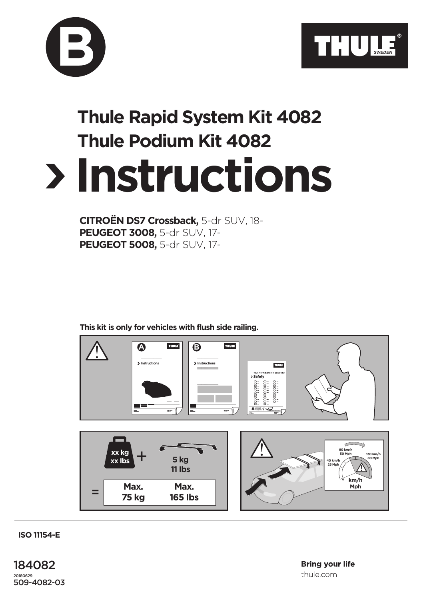

## **Instructions Thule Rapid System Kit 4082 Thule Podium Kit 4082**

**CITROËN DS7 Crossback,** 5-dr SUV, 18- **PEUGEOT 3008,** 5-dr SUV, 17- **PEUGEOT 5008,** 5-dr SUV, 17-

**B**

**This kit is only for vehicles with flush side railing.**



**ISO 11154-E**

184082 20180629 509-4082-03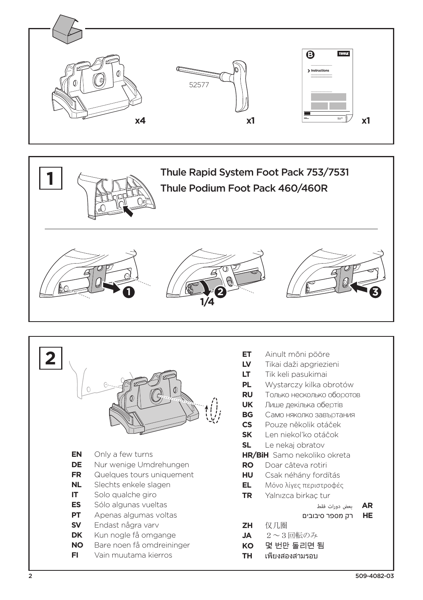





|                  | O)                                                | ET.<br><b>LV</b><br>LT<br>PL.<br><b>RU</b><br><b>UK</b><br><b>BG</b><br><b>CS</b><br><b>SK</b><br><b>SL</b> | Ainult mõni pööre<br>Tikai daži apgriezieni<br>Tik keli pasukimai<br>Wystarczy kilka obrotów<br>Только несколько оборотов<br>Лише декілька обертів<br>Само няколко завъртания<br>Pouze několik otáček<br>Len niekoľko otáčok<br>Le nekaj obratov |
|------------------|---------------------------------------------------|-------------------------------------------------------------------------------------------------------------|--------------------------------------------------------------------------------------------------------------------------------------------------------------------------------------------------------------------------------------------------|
| EN               | Only a few turns                                  |                                                                                                             | <b>HR/BiH</b> Samo nekoliko okreta                                                                                                                                                                                                               |
| DE               | Nur wenige Umdrehungen                            | <b>RO</b>                                                                                                   | Doar câteva rotiri                                                                                                                                                                                                                               |
| <b>FR</b>        | Quelques tours uniquement                         | <b>HU</b>                                                                                                   | Csak néhány fordítás                                                                                                                                                                                                                             |
| NL.              | Slechts enkele slagen                             | EL.                                                                                                         | Μόνο λίγες περιστροφές                                                                                                                                                                                                                           |
| IT               | Solo qualche giro                                 | TR                                                                                                          | Yalnızca birkaç tur                                                                                                                                                                                                                              |
| <b>ES</b>        | Sólo algunas vueltas                              |                                                                                                             | <b>AR</b><br>بعض دورات فقط                                                                                                                                                                                                                       |
| <b>PT</b>        | Apenas algumas voltas                             |                                                                                                             | HE<br>רק מספר סיבובים                                                                                                                                                                                                                            |
| <b>SV</b>        | Endast några varv                                 | <b>ZH</b>                                                                                                   | 仅几圈                                                                                                                                                                                                                                              |
| <b>DK</b>        | Kun nogle få omgange                              | JA.                                                                                                         | $2 \sim 3$ 回転のみ                                                                                                                                                                                                                                  |
| <b>NO</b><br>FI. | Bare noen få omdreininger<br>Vain muutama kierros | KO.<br>TH                                                                                                   | 몇 번만 돌리면 됨<br>้เพียงสองสามรอบ                                                                                                                                                                                                                    |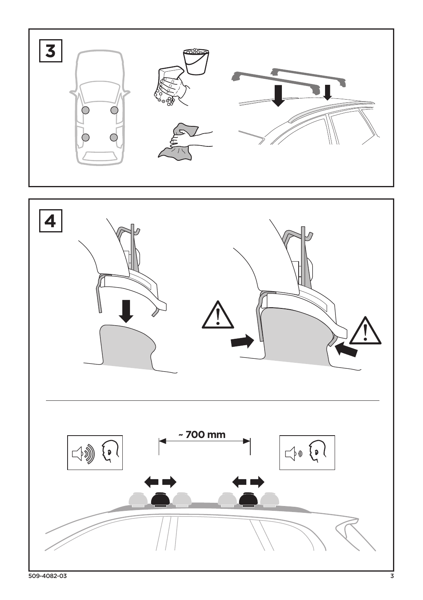